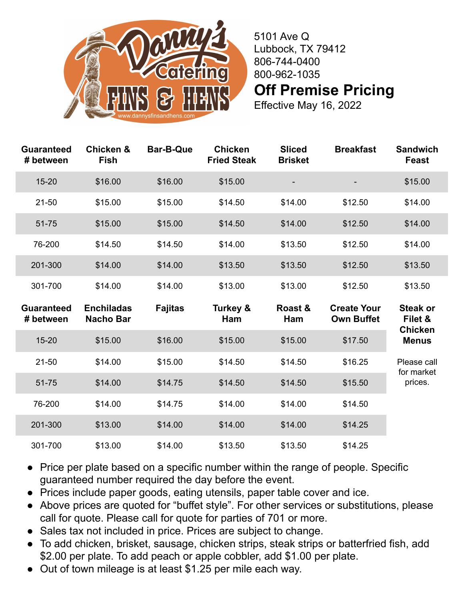

5101 Ave Q Lubbock, TX 79412 806-744-0400 800-962-1035 **Off Premise Pricing**

Effective May 16, 2022

| <b>Guaranteed</b><br># between | <b>Chicken &amp;</b><br><b>Fish</b>   | <b>Bar-B-Que</b> | <b>Chicken</b><br><b>Fried Steak</b> | <b>Sliced</b><br><b>Brisket</b> | <b>Breakfast</b>                        | <b>Sandwich</b><br><b>Feast</b> |
|--------------------------------|---------------------------------------|------------------|--------------------------------------|---------------------------------|-----------------------------------------|---------------------------------|
| $15 - 20$                      | \$16.00                               | \$16.00          | \$15.00                              |                                 |                                         | \$15.00                         |
| $21 - 50$                      | \$15.00                               | \$15.00          | \$14.50                              | \$14.00                         | \$12.50                                 | \$14.00                         |
| 51-75                          | \$15.00                               | \$15.00          | \$14.50                              | \$14.00                         | \$12.50                                 | \$14.00                         |
| 76-200                         | \$14.50                               | \$14.50          | \$14.00                              | \$13.50                         | \$12.50                                 | \$14.00                         |
| 201-300                        | \$14.00                               | \$14.00          | \$13.50                              | \$13.50                         | \$12.50                                 | \$13.50                         |
| 301-700                        | \$14.00                               | \$14.00          | \$13.00                              | \$13.00                         | \$12.50                                 | \$13.50                         |
|                                |                                       |                  |                                      |                                 |                                         |                                 |
| <b>Guaranteed</b><br># between | <b>Enchiladas</b><br><b>Nacho Bar</b> | <b>Fajitas</b>   | Turkey &<br>Ham                      | Roast &<br>Ham                  | <b>Create Your</b><br><b>Own Buffet</b> | <b>Steak or</b><br>Filet &      |
| $15 - 20$                      | \$15.00                               | \$16.00          | \$15.00                              | \$15.00                         | \$17.50                                 | <b>Chicken</b><br><b>Menus</b>  |
| $21 - 50$                      | \$14.00                               | \$15.00          | \$14.50                              | \$14.50                         | \$16.25                                 | Please call                     |
| 51-75                          | \$14.00                               | \$14.75          | \$14.50                              | \$14.50                         | \$15.50                                 | for market<br>prices.           |
| 76-200                         | \$14.00                               | \$14.75          | \$14.00                              | \$14.00                         | \$14.50                                 |                                 |
| 201-300                        | \$13.00                               | \$14.00          | \$14.00                              | \$14.00                         | \$14.25                                 |                                 |

- Price per plate based on a specific number within the range of people. Specific guaranteed number required the day before the event.
- Prices include paper goods, eating utensils, paper table cover and ice.
- Above prices are quoted for "buffet style". For other services or substitutions, please call for quote. Please call for quote for parties of 701 or more.
- Sales tax not included in price. Prices are subject to change.
- To add chicken, brisket, sausage, chicken strips, steak strips or batterfried fish, add \$2.00 per plate. To add peach or apple cobbler, add \$1.00 per plate.
- Out of town mileage is at least \$1.25 per mile each way.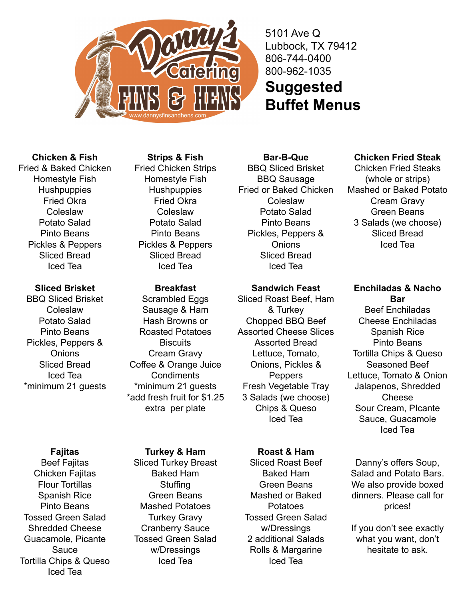

5101 Ave Q Lubbock, TX 79412 806-744-0400 800-962-1035 **Suggested Buffet Menus**

# **Chicken & Fish**

Fried & Baked Chicken Homestyle Fish **Hushpuppies** Fried Okra Coleslaw Potato Salad Pinto Beans Pickles & Peppers Sliced Bread Iced Tea

## **Sliced Brisket**

BBQ Sliced Brisket Coleslaw Potato Salad Pinto Beans Pickles, Peppers & **Onions** Sliced Bread Iced Tea \*minimum 21 guests

# **Fajitas**

Beef Fajitas Chicken Faiitas Flour Tortillas Spanish Rice Pinto Beans Tossed Green Salad Shredded Cheese Guacamole, Picante Sauce Tortilla Chips & Queso Iced Tea

## **Strips & Fish**

Fried Chicken Strips Homestyle Fish **Hushpuppies** Fried Okra Coleslaw Potato Salad Pinto Beans Pickles & Peppers Sliced Bread Iced Tea

### **Breakfast**

Scrambled Eggs Sausage & Ham Hash Browns or Roasted Potatoes **Biscuits** Cream Gravy Coffee & Orange Juice **Condiments** \*minimum 21 guests \*add fresh fruit for \$1.25 extra per plate

#### **Turkey & Ham**

Sliced Turkey Breast Baked Ham **Stuffing** Green Beans Mashed Potatoes Turkey Gravy Cranberry Sauce Tossed Green Salad w/Dressings Iced Tea

**Bar-B-Que** BBQ Sliced Brisket BBQ Sausage Fried or Baked Chicken Coleslaw Potato Salad Pinto Beans Pickles, Peppers & **Onions** Sliced Bread Iced Tea

### **Sandwich Feast**

Sliced Roast Beef, Ham & Turkey Chopped BBQ Beef Assorted Cheese Slices Assorted Bread Lettuce, Tomato, Onions, Pickles & **Peppers** Fresh Vegetable Tray 3 Salads (we choose) Chips & Queso Iced Tea

## **Roast & Ham**

Sliced Roast Beef Baked Ham Green Beans Mashed or Baked Potatoes Tossed Green Salad w/Dressings 2 additional Salads Rolls & Margarine Iced Tea

## **Chicken Fried Steak**

Chicken Fried Steaks (whole or strips) Mashed or Baked Potato Cream Gravy Green Beans 3 Salads (we choose) Sliced Bread Iced Tea

**Enchiladas & Nacho Bar** Beef Enchiladas Cheese Enchiladas Spanish Rice Pinto Beans Tortilla Chips & Queso Seasoned Beef Lettuce, Tomato & Onion Jalapenos, Shredded Cheese Sour Cream, PIcante Sauce, Guacamole Iced Tea

Danny's offers Soup, Salad and Potato Bars. We also provide boxed dinners. Please call for prices!

If you don't see exactly what you want, don't hesitate to ask.